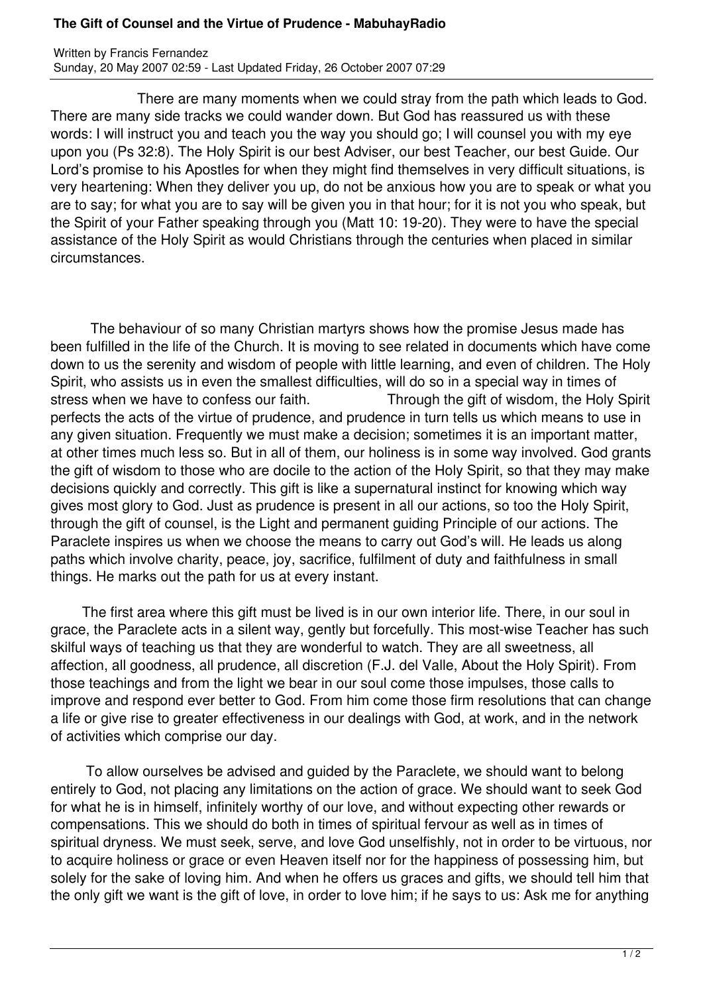## **The Gift of Counsel and the Virtue of Prudence - MabuhayRadio**

Written by Francis Fernandez Sunday, 20 May 2007 02:59 - Last Updated Friday, 26 October 2007 07:29

 There are many moments when we could stray from the path which leads to God. There are many side tracks we could wander down. But God has reassured us with these words: I will instruct you and teach you the way you should go; I will counsel you with my eye upon you (Ps 32:8). The Holy Spirit is our best Adviser, our best Teacher, our best Guide. Our Lord's promise to his Apostles for when they might find themselves in very difficult situations, is very heartening: When they deliver you up, do not be anxious how you are to speak or what you are to say; for what you are to say will be given you in that hour; for it is not you who speak, but the Spirit of your Father speaking through you (Matt 10: 19-20). They were to have the special assistance of the Holy Spirit as would Christians through the centuries when placed in similar circumstances.

 The behaviour of so many Christian martyrs shows how the promise Jesus made has been fulfilled in the life of the Church. It is moving to see related in documents which have come down to us the serenity and wisdom of people with little learning, and even of children. The Holy Spirit, who assists us in even the smallest difficulties, will do so in a special way in times of stress when we have to confess our faith. Through the gift of wisdom, the Holy Spirit perfects the acts of the virtue of prudence, and prudence in turn tells us which means to use in any given situation. Frequently we must make a decision; sometimes it is an important matter, at other times much less so. But in all of them, our holiness is in some way involved. God grants the gift of wisdom to those who are docile to the action of the Holy Spirit, so that they may make decisions quickly and correctly. This gift is like a supernatural instinct for knowing which way gives most glory to God. Just as prudence is present in all our actions, so too the Holy Spirit, through the gift of counsel, is the Light and permanent guiding Principle of our actions. The Paraclete inspires us when we choose the means to carry out God's will. He leads us along paths which involve charity, peace, joy, sacrifice, fulfilment of duty and faithfulness in small things. He marks out the path for us at every instant.

 The first area where this gift must be lived is in our own interior life. There, in our soul in grace, the Paraclete acts in a silent way, gently but forcefully. This most-wise Teacher has such skilful ways of teaching us that they are wonderful to watch. They are all sweetness, all affection, all goodness, all prudence, all discretion (F.J. del Valle, About the Holy Spirit). From those teachings and from the light we bear in our soul come those impulses, those calls to improve and respond ever better to God. From him come those firm resolutions that can change a life or give rise to greater effectiveness in our dealings with God, at work, and in the network of activities which comprise our day.

 To allow ourselves be advised and guided by the Paraclete, we should want to belong entirely to God, not placing any limitations on the action of grace. We should want to seek God for what he is in himself, infinitely worthy of our love, and without expecting other rewards or compensations. This we should do both in times of spiritual fervour as well as in times of spiritual dryness. We must seek, serve, and love God unselfishly, not in order to be virtuous, nor to acquire holiness or grace or even Heaven itself nor for the happiness of possessing him, but solely for the sake of loving him. And when he offers us graces and gifts, we should tell him that the only gift we want is the gift of love, in order to love him; if he says to us: Ask me for anything